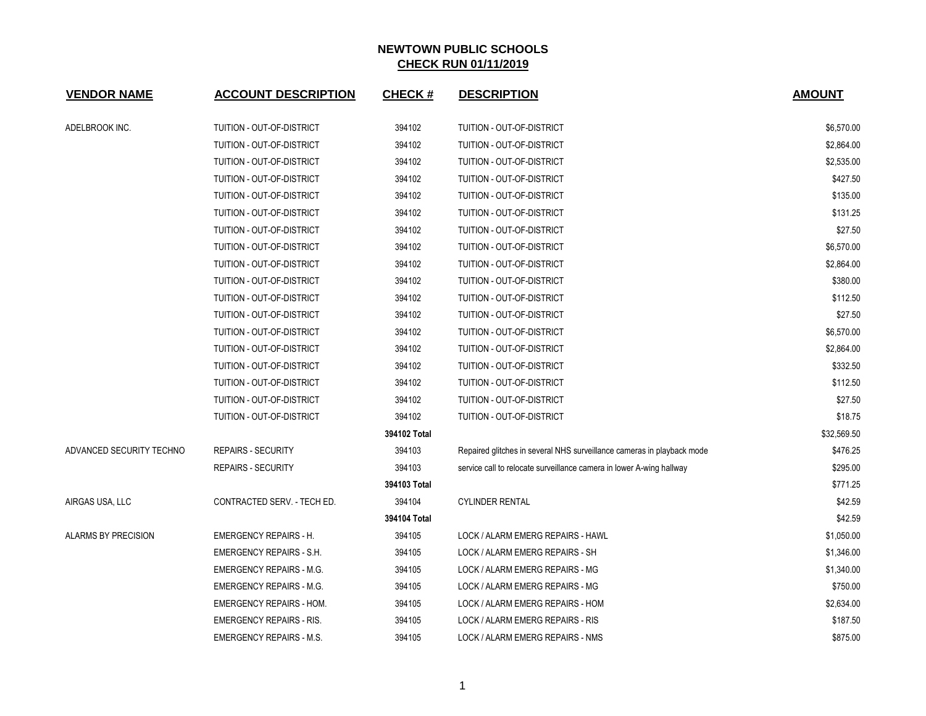| <b>VENDOR NAME</b>       | <b>ACCOUNT DESCRIPTION</b>      | <b>CHECK#</b> | <b>DESCRIPTION</b>                                                     | <b>AMOUNT</b> |
|--------------------------|---------------------------------|---------------|------------------------------------------------------------------------|---------------|
| ADELBROOK INC.           | TUITION - OUT-OF-DISTRICT       | 394102        | TUITION - OUT-OF-DISTRICT                                              | \$6,570.00    |
|                          | TUITION - OUT-OF-DISTRICT       | 394102        | TUITION - OUT-OF-DISTRICT                                              | \$2,864.00    |
|                          | TUITION - OUT-OF-DISTRICT       | 394102        | TUITION - OUT-OF-DISTRICT                                              | \$2,535.00    |
|                          | TUITION - OUT-OF-DISTRICT       | 394102        | TUITION - OUT-OF-DISTRICT                                              | \$427.50      |
|                          | TUITION - OUT-OF-DISTRICT       | 394102        | TUITION - OUT-OF-DISTRICT                                              | \$135.00      |
|                          | TUITION - OUT-OF-DISTRICT       | 394102        | TUITION - OUT-OF-DISTRICT                                              | \$131.25      |
|                          | TUITION - OUT-OF-DISTRICT       | 394102        | TUITION - OUT-OF-DISTRICT                                              | \$27.50       |
|                          | TUITION - OUT-OF-DISTRICT       | 394102        | TUITION - OUT-OF-DISTRICT                                              | \$6,570.00    |
|                          | TUITION - OUT-OF-DISTRICT       | 394102        | TUITION - OUT-OF-DISTRICT                                              | \$2,864.00    |
|                          | TUITION - OUT-OF-DISTRICT       | 394102        | TUITION - OUT-OF-DISTRICT                                              | \$380.00      |
|                          | TUITION - OUT-OF-DISTRICT       | 394102        | TUITION - OUT-OF-DISTRICT                                              | \$112.50      |
|                          | TUITION - OUT-OF-DISTRICT       | 394102        | TUITION - OUT-OF-DISTRICT                                              | \$27.50       |
|                          | TUITION - OUT-OF-DISTRICT       | 394102        | TUITION - OUT-OF-DISTRICT                                              | \$6,570.00    |
|                          | TUITION - OUT-OF-DISTRICT       | 394102        | TUITION - OUT-OF-DISTRICT                                              | \$2,864.00    |
|                          | TUITION - OUT-OF-DISTRICT       | 394102        | TUITION - OUT-OF-DISTRICT                                              | \$332.50      |
|                          | TUITION - OUT-OF-DISTRICT       | 394102        | TUITION - OUT-OF-DISTRICT                                              | \$112.50      |
|                          | TUITION - OUT-OF-DISTRICT       | 394102        | TUITION - OUT-OF-DISTRICT                                              | \$27.50       |
|                          | TUITION - OUT-OF-DISTRICT       | 394102        | TUITION - OUT-OF-DISTRICT                                              | \$18.75       |
|                          |                                 | 394102 Total  |                                                                        | \$32,569.50   |
| ADVANCED SECURITY TECHNO | <b>REPAIRS - SECURITY</b>       | 394103        | Repaired glitches in several NHS surveillance cameras in playback mode | \$476.25      |
|                          | <b>REPAIRS - SECURITY</b>       | 394103        | service call to relocate surveillance camera in lower A-wing hallway   | \$295.00      |
|                          |                                 | 394103 Total  |                                                                        | \$771.25      |
| AIRGAS USA, LLC          | CONTRACTED SERV. - TECH ED.     | 394104        | <b>CYLINDER RENTAL</b>                                                 | \$42.59       |
|                          |                                 | 394104 Total  |                                                                        | \$42.59       |
| ALARMS BY PRECISION      | <b>EMERGENCY REPAIRS - H.</b>   | 394105        | LOCK / ALARM EMERG REPAIRS - HAWL                                      | \$1,050.00    |
|                          | <b>EMERGENCY REPAIRS - S.H.</b> | 394105        | LOCK / ALARM EMERG REPAIRS - SH                                        | \$1,346.00    |
|                          | <b>EMERGENCY REPAIRS - M.G.</b> | 394105        | LOCK / ALARM EMERG REPAIRS - MG                                        | \$1,340.00    |
|                          | <b>EMERGENCY REPAIRS - M.G.</b> | 394105        | LOCK / ALARM EMERG REPAIRS - MG                                        | \$750.00      |
|                          | <b>EMERGENCY REPAIRS - HOM.</b> | 394105        | LOCK / ALARM EMERG REPAIRS - HOM                                       | \$2,634.00    |
|                          | <b>EMERGENCY REPAIRS - RIS.</b> | 394105        | LOCK / ALARM EMERG REPAIRS - RIS                                       | \$187.50      |
|                          | <b>EMERGENCY REPAIRS - M.S.</b> | 394105        | LOCK / ALARM EMERG REPAIRS - NMS                                       | \$875.00      |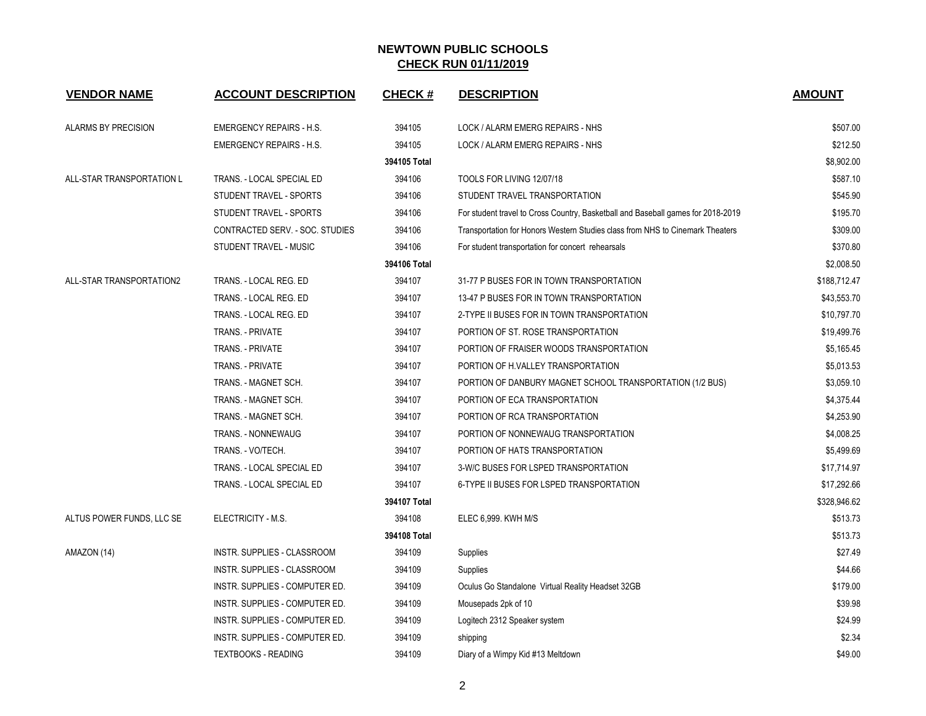| <b>VENDOR NAME</b>        | <b>ACCOUNT DESCRIPTION</b>      | <b>CHECK#</b> | <b>DESCRIPTION</b>                                                               | <b>AMOUNT</b> |
|---------------------------|---------------------------------|---------------|----------------------------------------------------------------------------------|---------------|
| ALARMS BY PRECISION       | <b>EMERGENCY REPAIRS - H.S.</b> | 394105        | LOCK / ALARM EMERG REPAIRS - NHS                                                 | \$507.00      |
|                           | <b>EMERGENCY REPAIRS - H.S.</b> | 394105        | LOCK / ALARM EMERG REPAIRS - NHS                                                 | \$212.50      |
|                           |                                 | 394105 Total  |                                                                                  | \$8,902.00    |
| ALL-STAR TRANSPORTATION L | TRANS. - LOCAL SPECIAL ED       | 394106        | TOOLS FOR LIVING 12/07/18                                                        | \$587.10      |
|                           | STUDENT TRAVEL - SPORTS         | 394106        | STUDENT TRAVEL TRANSPORTATION                                                    | \$545.90      |
|                           | <b>STUDENT TRAVEL - SPORTS</b>  | 394106        | For student travel to Cross Country, Basketball and Baseball games for 2018-2019 | \$195.70      |
|                           | CONTRACTED SERV. - SOC. STUDIES | 394106        | Transportation for Honors Western Studies class from NHS to Cinemark Theaters    | \$309.00      |
|                           | STUDENT TRAVEL - MUSIC          | 394106        | For student transportation for concert rehearsals                                | \$370.80      |
|                           |                                 | 394106 Total  |                                                                                  | \$2,008.50    |
| ALL-STAR TRANSPORTATION2  | TRANS. - LOCAL REG. ED          | 394107        | 31-77 P BUSES FOR IN TOWN TRANSPORTATION                                         | \$188,712.47  |
|                           | TRANS. - LOCAL REG. ED          | 394107        | 13-47 P BUSES FOR IN TOWN TRANSPORTATION                                         | \$43,553.70   |
|                           | TRANS. - LOCAL REG. ED          | 394107        | 2-TYPE II BUSES FOR IN TOWN TRANSPORTATION                                       | \$10,797.70   |
|                           | TRANS. - PRIVATE                | 394107        | PORTION OF ST. ROSE TRANSPORTATION                                               | \$19,499.76   |
|                           | TRANS. - PRIVATE                | 394107        | PORTION OF FRAISER WOODS TRANSPORTATION                                          | \$5,165.45    |
|                           | <b>TRANS. - PRIVATE</b>         | 394107        | PORTION OF H.VALLEY TRANSPORTATION                                               | \$5,013.53    |
|                           | TRANS. - MAGNET SCH.            | 394107        | PORTION OF DANBURY MAGNET SCHOOL TRANSPORTATION (1/2 BUS)                        | \$3,059.10    |
|                           | TRANS. - MAGNET SCH.            | 394107        | PORTION OF ECA TRANSPORTATION                                                    | \$4,375.44    |
|                           | TRANS. - MAGNET SCH.            | 394107        | PORTION OF RCA TRANSPORTATION                                                    | \$4,253.90    |
|                           | TRANS. - NONNEWAUG              | 394107        | PORTION OF NONNEWAUG TRANSPORTATION                                              | \$4,008.25    |
|                           | TRANS. - VO/TECH.               | 394107        | PORTION OF HATS TRANSPORTATION                                                   | \$5,499.69    |
|                           | TRANS. - LOCAL SPECIAL ED       | 394107        | 3-W/C BUSES FOR LSPED TRANSPORTATION                                             | \$17,714.97   |
|                           | TRANS. - LOCAL SPECIAL ED       | 394107        | 6-TYPE II BUSES FOR LSPED TRANSPORTATION                                         | \$17,292.66   |
|                           |                                 | 394107 Total  |                                                                                  | \$328,946.62  |
| ALTUS POWER FUNDS, LLC SE | ELECTRICITY - M.S.              | 394108        | ELEC 6,999. KWH M/S                                                              | \$513.73      |
|                           |                                 | 394108 Total  |                                                                                  | \$513.73      |
| AMAZON (14)               | INSTR. SUPPLIES - CLASSROOM     | 394109        | Supplies                                                                         | \$27.49       |
|                           | INSTR. SUPPLIES - CLASSROOM     | 394109        | Supplies                                                                         | \$44.66       |
|                           | INSTR. SUPPLIES - COMPUTER ED.  | 394109        | Oculus Go Standalone Virtual Reality Headset 32GB                                | \$179.00      |
|                           | INSTR. SUPPLIES - COMPUTER ED.  | 394109        | Mousepads 2pk of 10                                                              | \$39.98       |
|                           | INSTR. SUPPLIES - COMPUTER ED.  | 394109        | Logitech 2312 Speaker system                                                     | \$24.99       |
|                           | INSTR. SUPPLIES - COMPUTER ED.  | 394109        | shipping                                                                         | \$2.34        |
|                           | <b>TEXTBOOKS - READING</b>      | 394109        | Diary of a Wimpy Kid #13 Meltdown                                                | \$49.00       |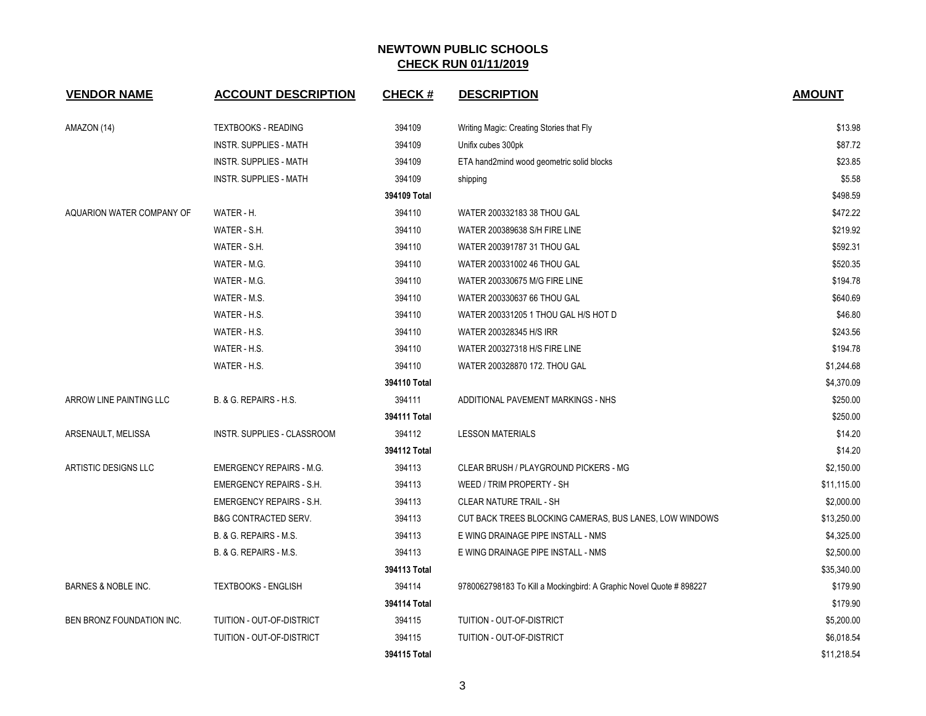| <b>VENDOR NAME</b>        | <b>ACCOUNT DESCRIPTION</b>         | <b>CHECK#</b> | <b>DESCRIPTION</b>                                                  | <b>AMOUNT</b> |
|---------------------------|------------------------------------|---------------|---------------------------------------------------------------------|---------------|
| AMAZON (14)               | <b>TEXTBOOKS - READING</b>         | 394109        | Writing Magic: Creating Stories that Fly                            | \$13.98       |
|                           | <b>INSTR. SUPPLIES - MATH</b>      | 394109        | Unifix cubes 300pk                                                  | \$87.72       |
|                           | <b>INSTR. SUPPLIES - MATH</b>      | 394109        | ETA hand2mind wood geometric solid blocks                           | \$23.85       |
|                           | <b>INSTR. SUPPLIES - MATH</b>      | 394109        | shipping                                                            | \$5.58        |
|                           |                                    | 394109 Total  |                                                                     | \$498.59      |
| AQUARION WATER COMPANY OF | WATER - H.                         | 394110        | WATER 200332183 38 THOU GAL                                         | \$472.22      |
|                           | WATER - S.H.                       | 394110        | WATER 200389638 S/H FIRE LINE                                       | \$219.92      |
|                           | WATER - S.H.                       | 394110        | WATER 200391787 31 THOU GAL                                         | \$592.31      |
|                           | WATER - M.G.                       | 394110        | WATER 200331002 46 THOU GAL                                         | \$520.35      |
|                           | WATER - M.G.                       | 394110        | WATER 200330675 M/G FIRE LINE                                       | \$194.78      |
|                           | WATER - M.S.                       | 394110        | WATER 200330637 66 THOU GAL                                         | \$640.69      |
|                           | WATER - H.S.                       | 394110        | WATER 200331205 1 THOU GAL H/S HOT D                                | \$46.80       |
|                           | WATER - H.S.                       | 394110        | WATER 200328345 H/S IRR                                             | \$243.56      |
|                           | WATER - H.S.                       | 394110        | WATER 200327318 H/S FIRE LINE                                       | \$194.78      |
|                           | WATER - H.S.                       | 394110        | WATER 200328870 172. THOU GAL                                       | \$1,244.68    |
|                           |                                    | 394110 Total  |                                                                     | \$4,370.09    |
| ARROW LINE PAINTING LLC   | B. & G. REPAIRS - H.S.             | 394111        | ADDITIONAL PAVEMENT MARKINGS - NHS                                  | \$250.00      |
|                           |                                    | 394111 Total  |                                                                     | \$250.00      |
| ARSENAULT, MELISSA        | <b>INSTR. SUPPLIES - CLASSROOM</b> | 394112        | <b>LESSON MATERIALS</b>                                             | \$14.20       |
|                           |                                    | 394112 Total  |                                                                     | \$14.20       |
| ARTISTIC DESIGNS LLC      | <b>EMERGENCY REPAIRS - M.G.</b>    | 394113        | CLEAR BRUSH / PLAYGROUND PICKERS - MG                               | \$2,150.00    |
|                           | <b>EMERGENCY REPAIRS - S.H.</b>    | 394113        | WEED / TRIM PROPERTY - SH                                           | \$11,115.00   |
|                           | <b>EMERGENCY REPAIRS - S.H.</b>    | 394113        | <b>CLEAR NATURE TRAIL - SH</b>                                      | \$2,000.00    |
|                           | <b>B&amp;G CONTRACTED SERV.</b>    | 394113        | CUT BACK TREES BLOCKING CAMERAS, BUS LANES, LOW WINDOWS             | \$13,250.00   |
|                           | B. & G. REPAIRS - M.S.             | 394113        | E WING DRAINAGE PIPE INSTALL - NMS                                  | \$4,325.00    |
|                           | B. & G. REPAIRS - M.S.             | 394113        | E WING DRAINAGE PIPE INSTALL - NMS                                  | \$2,500.00    |
|                           |                                    | 394113 Total  |                                                                     | \$35,340.00   |
| BARNES & NOBLE INC.       | <b>TEXTBOOKS - ENGLISH</b>         | 394114        | 9780062798183 To Kill a Mockingbird: A Graphic Novel Quote # 898227 | \$179.90      |
|                           |                                    | 394114 Total  |                                                                     | \$179.90      |
| BEN BRONZ FOUNDATION INC. | TUITION - OUT-OF-DISTRICT          | 394115        | TUITION - OUT-OF-DISTRICT                                           | \$5,200.00    |
|                           | TUITION - OUT-OF-DISTRICT          | 394115        | TUITION - OUT-OF-DISTRICT                                           | \$6,018.54    |
|                           |                                    | 394115 Total  |                                                                     | \$11,218.54   |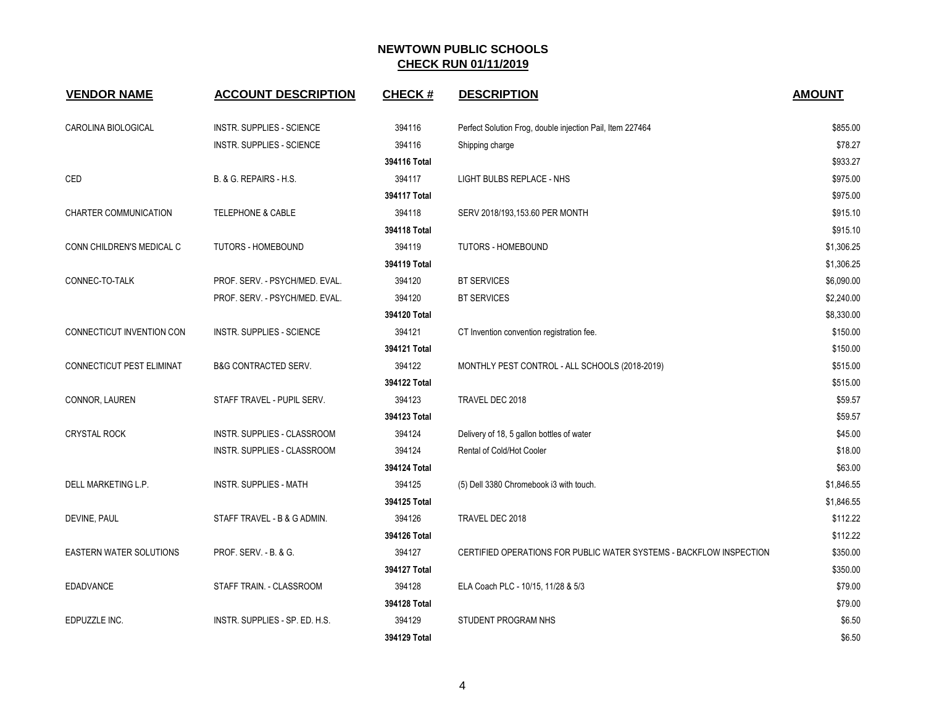| <b>VENDOR NAME</b>             | <b>ACCOUNT DESCRIPTION</b>       | <b>CHECK#</b> | <b>DESCRIPTION</b>                                                  | <b>AMOUNT</b> |
|--------------------------------|----------------------------------|---------------|---------------------------------------------------------------------|---------------|
| CAROLINA BIOLOGICAL            | <b>INSTR. SUPPLIES - SCIENCE</b> | 394116        | Perfect Solution Frog, double injection Pail, Item 227464           | \$855.00      |
|                                | <b>INSTR. SUPPLIES - SCIENCE</b> | 394116        | Shipping charge                                                     | \$78.27       |
|                                |                                  | 394116 Total  |                                                                     | \$933.27      |
| CED                            | B. & G. REPAIRS - H.S.           | 394117        | LIGHT BULBS REPLACE - NHS                                           | \$975.00      |
|                                |                                  | 394117 Total  |                                                                     | \$975.00      |
| CHARTER COMMUNICATION          | <b>TELEPHONE &amp; CABLE</b>     | 394118        | SERV 2018/193,153.60 PER MONTH                                      | \$915.10      |
|                                |                                  | 394118 Total  |                                                                     | \$915.10      |
| CONN CHILDREN'S MEDICAL C      | <b>TUTORS - HOMEBOUND</b>        | 394119        | <b>TUTORS - HOMEBOUND</b>                                           | \$1,306.25    |
|                                |                                  | 394119 Total  |                                                                     | \$1,306.25    |
| CONNEC-TO-TALK                 | PROF. SERV. - PSYCH/MED. EVAL.   | 394120        | <b>BT SERVICES</b>                                                  | \$6,090.00    |
|                                | PROF. SERV. - PSYCH/MED. EVAL.   | 394120        | <b>BT SERVICES</b>                                                  | \$2,240.00    |
|                                |                                  | 394120 Total  |                                                                     | \$8,330.00    |
| CONNECTICUT INVENTION CON      | <b>INSTR. SUPPLIES - SCIENCE</b> | 394121        | CT Invention convention registration fee.                           | \$150.00      |
|                                |                                  | 394121 Total  |                                                                     | \$150.00      |
| CONNECTICUT PEST ELIMINAT      | <b>B&amp;G CONTRACTED SERV.</b>  | 394122        | MONTHLY PEST CONTROL - ALL SCHOOLS (2018-2019)                      | \$515.00      |
|                                |                                  | 394122 Total  |                                                                     | \$515.00      |
| CONNOR, LAUREN                 | STAFF TRAVEL - PUPIL SERV.       | 394123        | TRAVEL DEC 2018                                                     | \$59.57       |
|                                |                                  | 394123 Total  |                                                                     | \$59.57       |
| <b>CRYSTAL ROCK</b>            | INSTR. SUPPLIES - CLASSROOM      | 394124        | Delivery of 18, 5 gallon bottles of water                           | \$45.00       |
|                                | INSTR. SUPPLIES - CLASSROOM      | 394124        | Rental of Cold/Hot Cooler                                           | \$18.00       |
|                                |                                  | 394124 Total  |                                                                     | \$63.00       |
| DELL MARKETING L.P.            | <b>INSTR. SUPPLIES - MATH</b>    | 394125        | (5) Dell 3380 Chromebook i3 with touch.                             | \$1,846.55    |
|                                |                                  | 394125 Total  |                                                                     | \$1,846.55    |
| DEVINE, PAUL                   | STAFF TRAVEL - B & G ADMIN.      | 394126        | TRAVEL DEC 2018                                                     | \$112.22      |
|                                |                                  | 394126 Total  |                                                                     | \$112.22      |
| <b>EASTERN WATER SOLUTIONS</b> | PROF. SERV. - B. & G.            | 394127        | CERTIFIED OPERATIONS FOR PUBLIC WATER SYSTEMS - BACKFLOW INSPECTION | \$350.00      |
|                                |                                  | 394127 Total  |                                                                     | \$350.00      |
| EDADVANCE                      | STAFF TRAIN. - CLASSROOM         | 394128        | ELA Coach PLC - 10/15, 11/28 & 5/3                                  | \$79.00       |
|                                |                                  | 394128 Total  |                                                                     | \$79.00       |
| EDPUZZLE INC.                  | INSTR. SUPPLIES - SP. ED. H.S.   | 394129        | STUDENT PROGRAM NHS                                                 | \$6.50        |
|                                |                                  | 394129 Total  |                                                                     | \$6.50        |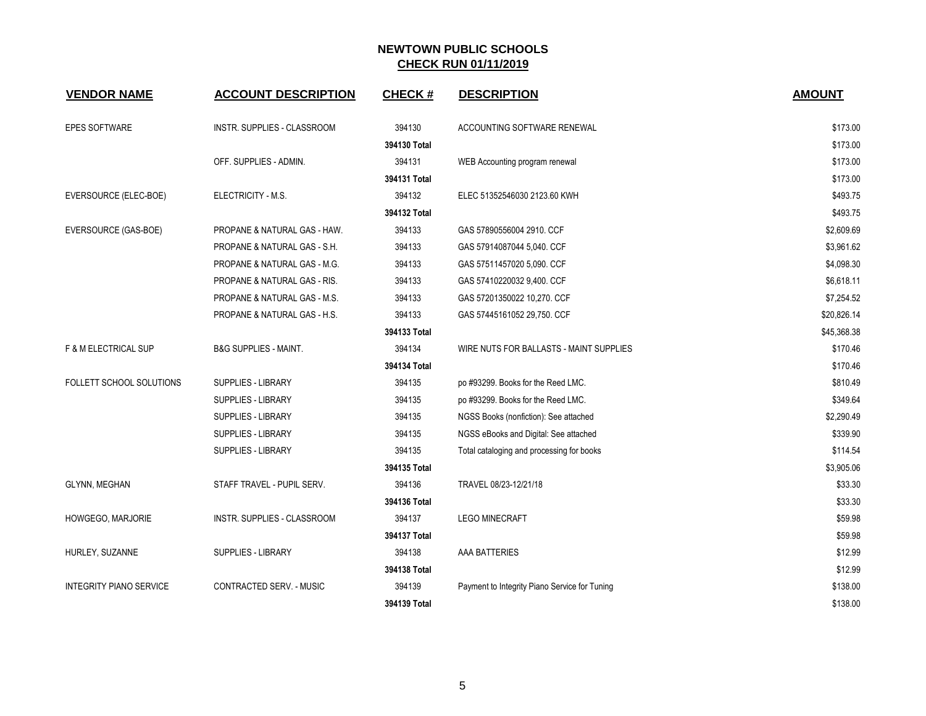| <b>VENDOR NAME</b>             | <b>ACCOUNT DESCRIPTION</b>       | <b>CHECK#</b> | <b>DESCRIPTION</b>                            | <b>AMOUNT</b> |
|--------------------------------|----------------------------------|---------------|-----------------------------------------------|---------------|
| <b>EPES SOFTWARE</b>           | INSTR. SUPPLIES - CLASSROOM      | 394130        | ACCOUNTING SOFTWARE RENEWAL                   | \$173.00      |
|                                |                                  | 394130 Total  |                                               | \$173.00      |
|                                | OFF. SUPPLIES - ADMIN.           | 394131        | WEB Accounting program renewal                | \$173.00      |
|                                |                                  | 394131 Total  |                                               | \$173.00      |
| EVERSOURCE (ELEC-BOE)          | ELECTRICITY - M.S.               | 394132        | ELEC 51352546030 2123.60 KWH                  | \$493.75      |
|                                |                                  | 394132 Total  |                                               | \$493.75      |
| EVERSOURCE (GAS-BOE)           | PROPANE & NATURAL GAS - HAW.     | 394133        | GAS 57890556004 2910. CCF                     | \$2,609.69    |
|                                | PROPANE & NATURAL GAS - S.H.     | 394133        | GAS 57914087044 5,040. CCF                    | \$3,961.62    |
|                                | PROPANE & NATURAL GAS - M.G.     | 394133        | GAS 57511457020 5,090. CCF                    | \$4,098.30    |
|                                | PROPANE & NATURAL GAS - RIS.     | 394133        | GAS 57410220032 9,400. CCF                    | \$6,618.11    |
|                                | PROPANE & NATURAL GAS - M.S.     | 394133        | GAS 57201350022 10,270. CCF                   | \$7,254.52    |
|                                | PROPANE & NATURAL GAS - H.S.     | 394133        | GAS 57445161052 29,750. CCF                   | \$20,826.14   |
|                                |                                  | 394133 Total  |                                               | \$45,368.38   |
| F & M ELECTRICAL SUP           | <b>B&amp;G SUPPLIES - MAINT.</b> | 394134        | WIRE NUTS FOR BALLASTS - MAINT SUPPLIES       | \$170.46      |
|                                |                                  | 394134 Total  |                                               | \$170.46      |
| FOLLETT SCHOOL SOLUTIONS       | SUPPLIES - LIBRARY               | 394135        | po #93299. Books for the Reed LMC.            | \$810.49      |
|                                | <b>SUPPLIES - LIBRARY</b>        | 394135        | po #93299. Books for the Reed LMC.            | \$349.64      |
|                                | <b>SUPPLIES - LIBRARY</b>        | 394135        | NGSS Books (nonfiction): See attached         | \$2,290.49    |
|                                | SUPPLIES - LIBRARY               | 394135        | NGSS eBooks and Digital: See attached         | \$339.90      |
|                                | SUPPLIES - LIBRARY               | 394135        | Total cataloging and processing for books     | \$114.54      |
|                                |                                  | 394135 Total  |                                               | \$3,905.06    |
| GLYNN, MEGHAN                  | STAFF TRAVEL - PUPIL SERV.       | 394136        | TRAVEL 08/23-12/21/18                         | \$33.30       |
|                                |                                  | 394136 Total  |                                               | \$33.30       |
| HOWGEGO, MARJORIE              | INSTR. SUPPLIES - CLASSROOM      | 394137        | <b>LEGO MINECRAFT</b>                         | \$59.98       |
|                                |                                  | 394137 Total  |                                               | \$59.98       |
| HURLEY, SUZANNE                | SUPPLIES - LIBRARY               | 394138        | AAA BATTERIES                                 | \$12.99       |
|                                |                                  | 394138 Total  |                                               | \$12.99       |
| <b>INTEGRITY PIANO SERVICE</b> | CONTRACTED SERV. - MUSIC         | 394139        | Payment to Integrity Piano Service for Tuning | \$138.00      |
|                                |                                  | 394139 Total  |                                               | \$138.00      |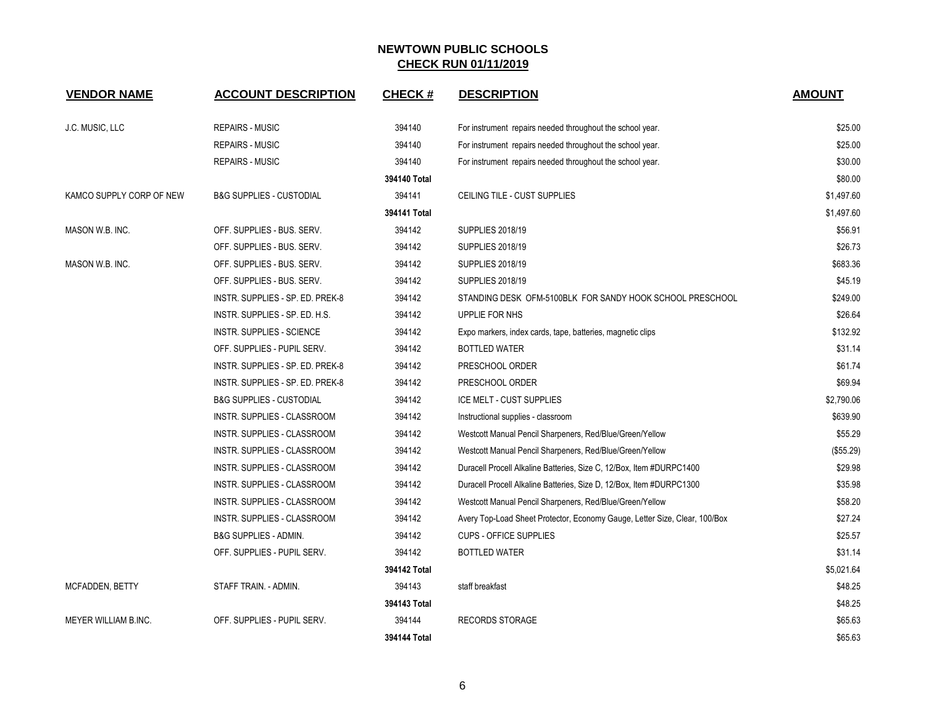| <b>VENDOR NAME</b>          | <b>ACCOUNT DESCRIPTION</b>          | <b>CHECK#</b> | <b>DESCRIPTION</b>                                                         | <b>AMOUNT</b> |
|-----------------------------|-------------------------------------|---------------|----------------------------------------------------------------------------|---------------|
| J.C. MUSIC, LLC             | <b>REPAIRS - MUSIC</b>              | 394140        | For instrument repairs needed throughout the school year.                  | \$25.00       |
|                             | <b>REPAIRS - MUSIC</b>              | 394140        | For instrument repairs needed throughout the school year.                  | \$25.00       |
|                             | REPAIRS - MUSIC                     | 394140        | For instrument repairs needed throughout the school year.                  | \$30.00       |
|                             |                                     | 394140 Total  |                                                                            | \$80.00       |
| KAMCO SUPPLY CORP OF NEW    | <b>B&amp;G SUPPLIES - CUSTODIAL</b> | 394141        | CEILING TILE - CUST SUPPLIES                                               | \$1,497.60    |
|                             |                                     | 394141 Total  |                                                                            | \$1,497.60    |
| MASON W.B. INC.             | OFF. SUPPLIES - BUS. SERV.          | 394142        | SUPPLIES 2018/19                                                           | \$56.91       |
|                             | OFF. SUPPLIES - BUS. SERV.          | 394142        | <b>SUPPLIES 2018/19</b>                                                    | \$26.73       |
| MASON W.B. INC.             | OFF. SUPPLIES - BUS. SERV.          | 394142        | <b>SUPPLIES 2018/19</b>                                                    | \$683.36      |
|                             | OFF. SUPPLIES - BUS. SERV.          | 394142        | SUPPLIES 2018/19                                                           | \$45.19       |
|                             | INSTR. SUPPLIES - SP. ED. PREK-8    | 394142        | STANDING DESK OFM-5100BLK FOR SANDY HOOK SCHOOL PRESCHOOL                  | \$249.00      |
|                             | INSTR. SUPPLIES - SP. ED. H.S.      | 394142        | UPPLIE FOR NHS                                                             | \$26.64       |
|                             | INSTR. SUPPLIES - SCIENCE           | 394142        | Expo markers, index cards, tape, batteries, magnetic clips                 | \$132.92      |
|                             | OFF. SUPPLIES - PUPIL SERV.         | 394142        | <b>BOTTLED WATER</b>                                                       | \$31.14       |
|                             | INSTR. SUPPLIES - SP. ED. PREK-8    | 394142        | PRESCHOOL ORDER                                                            | \$61.74       |
|                             | INSTR. SUPPLIES - SP. ED. PREK-8    | 394142        | PRESCHOOL ORDER                                                            | \$69.94       |
|                             | <b>B&amp;G SUPPLIES - CUSTODIAL</b> | 394142        | ICE MELT - CUST SUPPLIES                                                   | \$2,790.06    |
|                             | INSTR. SUPPLIES - CLASSROOM         | 394142        | Instructional supplies - classroom                                         | \$639.90      |
|                             | INSTR. SUPPLIES - CLASSROOM         | 394142        | Westcott Manual Pencil Sharpeners, Red/Blue/Green/Yellow                   | \$55.29       |
|                             | INSTR. SUPPLIES - CLASSROOM         | 394142        | Westcott Manual Pencil Sharpeners, Red/Blue/Green/Yellow                   | (\$55.29)     |
|                             | INSTR. SUPPLIES - CLASSROOM         | 394142        | Duracell Procell Alkaline Batteries, Size C, 12/Box, Item #DURPC1400       | \$29.98       |
|                             | INSTR. SUPPLIES - CLASSROOM         | 394142        | Duracell Procell Alkaline Batteries, Size D, 12/Box, Item #DURPC1300       | \$35.98       |
|                             | INSTR. SUPPLIES - CLASSROOM         | 394142        | Westcott Manual Pencil Sharpeners, Red/Blue/Green/Yellow                   | \$58.20       |
|                             | INSTR. SUPPLIES - CLASSROOM         | 394142        | Avery Top-Load Sheet Protector, Economy Gauge, Letter Size, Clear, 100/Box | \$27.24       |
|                             | <b>B&amp;G SUPPLIES - ADMIN.</b>    | 394142        | <b>CUPS - OFFICE SUPPLIES</b>                                              | \$25.57       |
|                             | OFF. SUPPLIES - PUPIL SERV.         | 394142        | <b>BOTTLED WATER</b>                                                       | \$31.14       |
|                             |                                     | 394142 Total  |                                                                            | \$5,021.64    |
| MCFADDEN, BETTY             | STAFF TRAIN. - ADMIN.               | 394143        | staff breakfast                                                            | \$48.25       |
|                             |                                     | 394143 Total  |                                                                            | \$48.25       |
| <b>MEYER WILLIAM B.INC.</b> | OFF. SUPPLIES - PUPIL SERV.         | 394144        | <b>RECORDS STORAGE</b>                                                     | \$65.63       |
|                             |                                     | 394144 Total  |                                                                            | \$65.63       |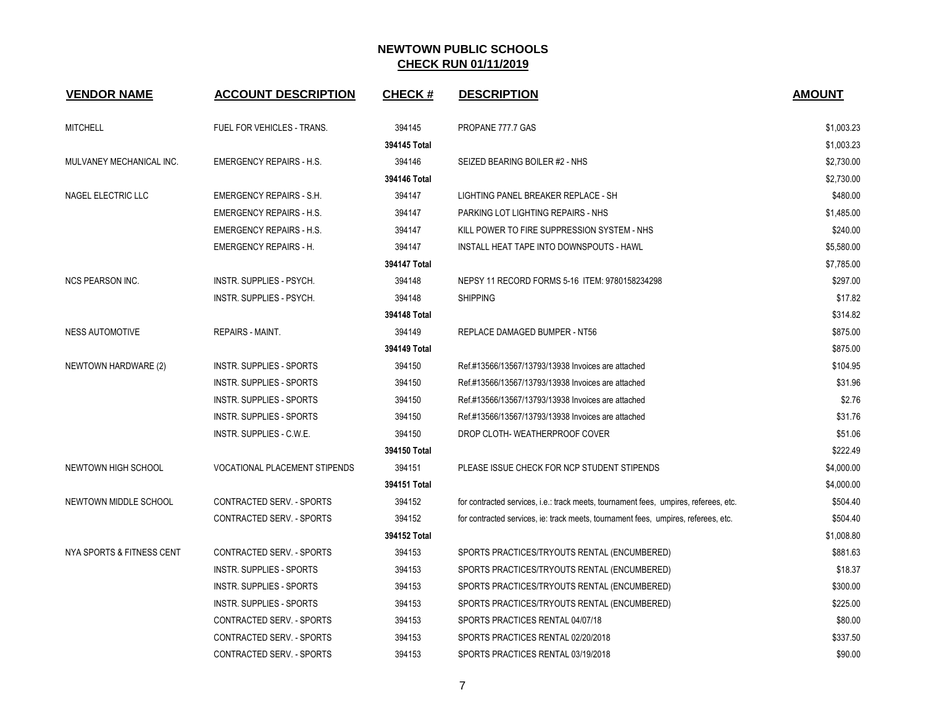| <b>VENDOR NAME</b>        | <b>ACCOUNT DESCRIPTION</b>           | <b>CHECK#</b> | <b>DESCRIPTION</b>                                                                   | <b>AMOUNT</b> |
|---------------------------|--------------------------------------|---------------|--------------------------------------------------------------------------------------|---------------|
| <b>MITCHELL</b>           | FUEL FOR VEHICLES - TRANS.           | 394145        | PROPANE 777.7 GAS                                                                    | \$1,003.23    |
|                           |                                      | 394145 Total  |                                                                                      | \$1,003.23    |
| MULVANEY MECHANICAL INC.  | <b>EMERGENCY REPAIRS - H.S.</b>      | 394146        | SEIZED BEARING BOILER #2 - NHS                                                       | \$2,730.00    |
|                           |                                      | 394146 Total  |                                                                                      | \$2,730.00    |
| NAGEL ELECTRIC LLC        | <b>EMERGENCY REPAIRS - S.H.</b>      | 394147        | LIGHTING PANEL BREAKER REPLACE - SH                                                  | \$480.00      |
|                           | <b>EMERGENCY REPAIRS - H.S.</b>      | 394147        | PARKING LOT LIGHTING REPAIRS - NHS                                                   | \$1,485.00    |
|                           | <b>EMERGENCY REPAIRS - H.S.</b>      | 394147        | KILL POWER TO FIRE SUPPRESSION SYSTEM - NHS                                          | \$240.00      |
|                           | <b>EMERGENCY REPAIRS - H.</b>        | 394147        | INSTALL HEAT TAPE INTO DOWNSPOUTS - HAWL                                             | \$5,580.00    |
|                           |                                      | 394147 Total  |                                                                                      | \$7,785.00    |
| <b>NCS PEARSON INC.</b>   | INSTR. SUPPLIES - PSYCH.             | 394148        | NEPSY 11 RECORD FORMS 5-16 ITEM: 9780158234298                                       | \$297.00      |
|                           | INSTR. SUPPLIES - PSYCH.             | 394148        | <b>SHIPPING</b>                                                                      | \$17.82       |
|                           |                                      | 394148 Total  |                                                                                      | \$314.82      |
| <b>NESS AUTOMOTIVE</b>    | <b>REPAIRS - MAINT.</b>              | 394149        | REPLACE DAMAGED BUMPER - NT56                                                        | \$875.00      |
|                           |                                      | 394149 Total  |                                                                                      | \$875.00      |
| NEWTOWN HARDWARE (2)      | INSTR. SUPPLIES - SPORTS             | 394150        | Ref.#13566/13567/13793/13938 Invoices are attached                                   | \$104.95      |
|                           | INSTR. SUPPLIES - SPORTS             | 394150        | Ref.#13566/13567/13793/13938 Invoices are attached                                   | \$31.96       |
|                           | INSTR. SUPPLIES - SPORTS             | 394150        | Ref.#13566/13567/13793/13938 Invoices are attached                                   | \$2.76        |
|                           | INSTR. SUPPLIES - SPORTS             | 394150        | Ref.#13566/13567/13793/13938 Invoices are attached                                   | \$31.76       |
|                           | INSTR. SUPPLIES - C.W.E.             | 394150        | DROP CLOTH- WEATHERPROOF COVER                                                       | \$51.06       |
|                           |                                      | 394150 Total  |                                                                                      | \$222.49      |
| NEWTOWN HIGH SCHOOL       | <b>VOCATIONAL PLACEMENT STIPENDS</b> | 394151        | PLEASE ISSUE CHECK FOR NCP STUDENT STIPENDS                                          | \$4,000.00    |
|                           |                                      | 394151 Total  |                                                                                      | \$4,000.00    |
| NEWTOWN MIDDLE SCHOOL     | <b>CONTRACTED SERV. - SPORTS</b>     | 394152        | for contracted services, i.e.: track meets, tournament fees, umpires, referees, etc. | \$504.40      |
|                           | CONTRACTED SERV. - SPORTS            | 394152        | for contracted services, ie: track meets, tournament fees, umpires, referees, etc.   | \$504.40      |
|                           |                                      | 394152 Total  |                                                                                      | \$1,008.80    |
| NYA SPORTS & FITNESS CENT | <b>CONTRACTED SERV. - SPORTS</b>     | 394153        | SPORTS PRACTICES/TRYOUTS RENTAL (ENCUMBERED)                                         | \$881.63      |
|                           | <b>INSTR. SUPPLIES - SPORTS</b>      | 394153        | SPORTS PRACTICES/TRYOUTS RENTAL (ENCUMBERED)                                         | \$18.37       |
|                           | INSTR. SUPPLIES - SPORTS             | 394153        | SPORTS PRACTICES/TRYOUTS RENTAL (ENCUMBERED)                                         | \$300.00      |
|                           | INSTR. SUPPLIES - SPORTS             | 394153        | SPORTS PRACTICES/TRYOUTS RENTAL (ENCUMBERED)                                         | \$225.00      |
|                           | CONTRACTED SERV. - SPORTS            | 394153        | SPORTS PRACTICES RENTAL 04/07/18                                                     | \$80.00       |
|                           | CONTRACTED SERV. - SPORTS            | 394153        | SPORTS PRACTICES RENTAL 02/20/2018                                                   | \$337.50      |
|                           | CONTRACTED SERV. - SPORTS            | 394153        | SPORTS PRACTICES RENTAL 03/19/2018                                                   | \$90.00       |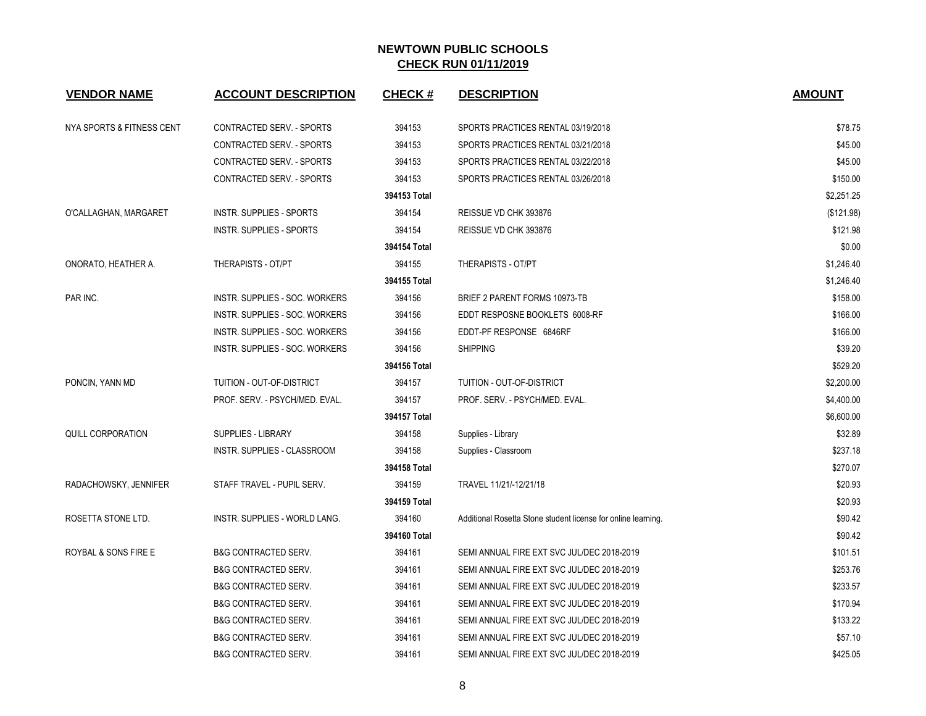| <b>VENDOR NAME</b>        | <b>ACCOUNT DESCRIPTION</b>           | <b>CHECK#</b> | <b>DESCRIPTION</b>                                            | <b>AMOUNT</b> |
|---------------------------|--------------------------------------|---------------|---------------------------------------------------------------|---------------|
| NYA SPORTS & FITNESS CENT | <b>CONTRACTED SERV. - SPORTS</b>     | 394153        | SPORTS PRACTICES RENTAL 03/19/2018                            | \$78.75       |
|                           | CONTRACTED SERV. - SPORTS            | 394153        | SPORTS PRACTICES RENTAL 03/21/2018                            | \$45.00       |
|                           | CONTRACTED SERV. - SPORTS            | 394153        | SPORTS PRACTICES RENTAL 03/22/2018                            | \$45.00       |
|                           | CONTRACTED SERV. - SPORTS            | 394153        | SPORTS PRACTICES RENTAL 03/26/2018                            | \$150.00      |
|                           |                                      | 394153 Total  |                                                               | \$2,251.25    |
| O'CALLAGHAN, MARGARET     | <b>INSTR. SUPPLIES - SPORTS</b>      | 394154        | REISSUE VD CHK 393876                                         | (\$121.98)    |
|                           | INSTR. SUPPLIES - SPORTS             | 394154        | REISSUE VD CHK 393876                                         | \$121.98      |
|                           |                                      | 394154 Total  |                                                               | \$0.00        |
| ONORATO, HEATHER A.       | THERAPISTS - OT/PT                   | 394155        | THERAPISTS - OT/PT                                            | \$1,246.40    |
|                           |                                      | 394155 Total  |                                                               | \$1,246.40    |
| PAR INC.                  | INSTR. SUPPLIES - SOC. WORKERS       | 394156        | BRIEF 2 PARENT FORMS 10973-TB                                 | \$158.00      |
|                           | INSTR. SUPPLIES - SOC. WORKERS       | 394156        | EDDT RESPOSNE BOOKLETS 6008-RF                                | \$166.00      |
|                           | INSTR. SUPPLIES - SOC. WORKERS       | 394156        | EDDT-PF RESPONSE 6846RF                                       | \$166.00      |
|                           | INSTR. SUPPLIES - SOC. WORKERS       | 394156        | <b>SHIPPING</b>                                               | \$39.20       |
|                           |                                      | 394156 Total  |                                                               | \$529.20      |
| PONCIN, YANN MD           | TUITION - OUT-OF-DISTRICT            | 394157        | TUITION - OUT-OF-DISTRICT                                     | \$2,200.00    |
|                           | PROF. SERV. - PSYCH/MED. EVAL.       | 394157        | PROF. SERV. - PSYCH/MED. EVAL.                                | \$4,400.00    |
|                           |                                      | 394157 Total  |                                                               | \$6,600.00    |
| QUILL CORPORATION         | <b>SUPPLIES - LIBRARY</b>            | 394158        | Supplies - Library                                            | \$32.89       |
|                           | <b>INSTR. SUPPLIES - CLASSROOM</b>   | 394158        | Supplies - Classroom                                          | \$237.18      |
|                           |                                      | 394158 Total  |                                                               | \$270.07      |
| RADACHOWSKY, JENNIFER     | STAFF TRAVEL - PUPIL SERV.           | 394159        | TRAVEL 11/21/-12/21/18                                        | \$20.93       |
|                           |                                      | 394159 Total  |                                                               | \$20.93       |
| ROSETTA STONE LTD.        | <b>INSTR. SUPPLIES - WORLD LANG.</b> | 394160        | Additional Rosetta Stone student license for online learning. | \$90.42       |
|                           |                                      | 394160 Total  |                                                               | \$90.42       |
| ROYBAL & SONS FIRE E      | <b>B&amp;G CONTRACTED SERV.</b>      | 394161        | SEMI ANNUAL FIRE EXT SVC JUL/DEC 2018-2019                    | \$101.51      |
|                           | <b>B&amp;G CONTRACTED SERV.</b>      | 394161        | SEMI ANNUAL FIRE EXT SVC JUL/DEC 2018-2019                    | \$253.76      |
|                           | <b>B&amp;G CONTRACTED SERV.</b>      | 394161        | SEMI ANNUAL FIRE EXT SVC JUL/DEC 2018-2019                    | \$233.57      |
|                           | <b>B&amp;G CONTRACTED SERV.</b>      | 394161        | SEMI ANNUAL FIRE EXT SVC JUL/DEC 2018-2019                    | \$170.94      |
|                           | <b>B&amp;G CONTRACTED SERV.</b>      | 394161        | SEMI ANNUAL FIRE EXT SVC JUL/DEC 2018-2019                    | \$133.22      |
|                           | <b>B&amp;G CONTRACTED SERV.</b>      | 394161        | SEMI ANNUAL FIRE EXT SVC JUL/DEC 2018-2019                    | \$57.10       |
|                           | <b>B&amp;G CONTRACTED SERV.</b>      | 394161        | SEMI ANNUAL FIRE EXT SVC JUL/DEC 2018-2019                    | \$425.05      |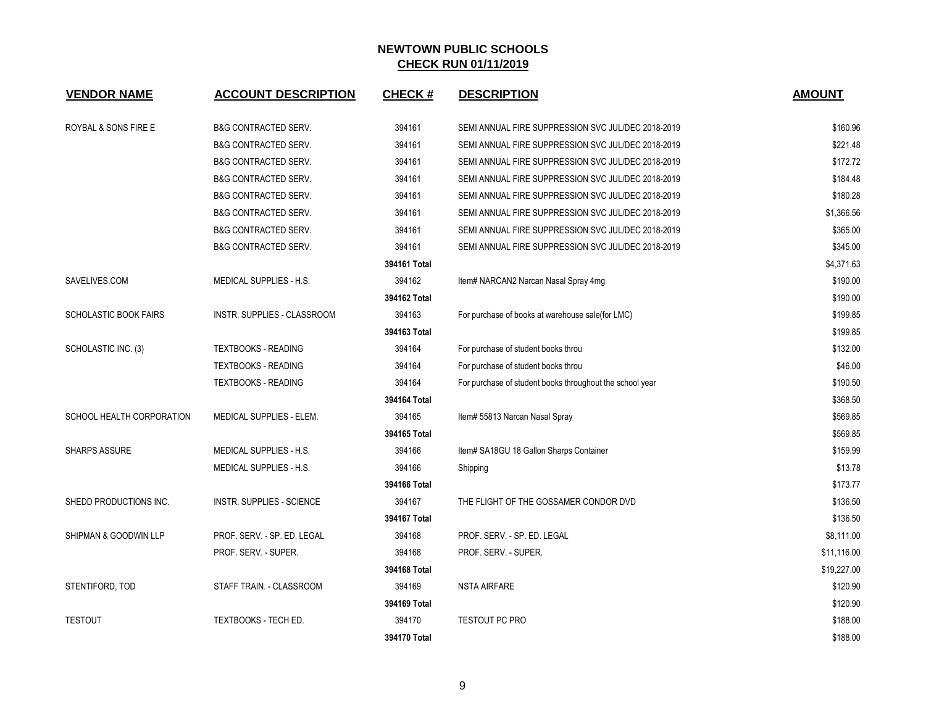| <b>VENDOR NAME</b>           | <b>ACCOUNT DESCRIPTION</b>       | <b>CHECK#</b> | <b>DESCRIPTION</b>                                       | <b>AMOUNT</b> |
|------------------------------|----------------------------------|---------------|----------------------------------------------------------|---------------|
| ROYBAL & SONS FIRE E         | <b>B&amp;G CONTRACTED SERV.</b>  | 394161        | SEMI ANNUAL FIRE SUPPRESSION SVC JUL/DEC 2018-2019       | \$160.96      |
|                              | <b>B&amp;G CONTRACTED SERV.</b>  | 394161        | SEMI ANNUAL FIRE SUPPRESSION SVC JUL/DEC 2018-2019       | \$221.48      |
|                              | <b>B&amp;G CONTRACTED SERV.</b>  | 394161        | SEMI ANNUAL FIRE SUPPRESSION SVC JUL/DEC 2018-2019       | \$172.72      |
|                              | <b>B&amp;G CONTRACTED SERV.</b>  | 394161        | SEMI ANNUAL FIRE SUPPRESSION SVC JUL/DEC 2018-2019       | \$184.48      |
|                              | <b>B&amp;G CONTRACTED SERV.</b>  | 394161        | SEMI ANNUAL FIRE SUPPRESSION SVC JUL/DEC 2018-2019       | \$180.28      |
|                              | <b>B&amp;G CONTRACTED SERV.</b>  | 394161        | SEMI ANNUAL FIRE SUPPRESSION SVC JUL/DEC 2018-2019       | \$1,366.56    |
|                              | <b>B&amp;G CONTRACTED SERV.</b>  | 394161        | SEMI ANNUAL FIRE SUPPRESSION SVC JUL/DEC 2018-2019       | \$365.00      |
|                              | <b>B&amp;G CONTRACTED SERV.</b>  | 394161        | SEMI ANNUAL FIRE SUPPRESSION SVC JUL/DEC 2018-2019       | \$345.00      |
|                              |                                  | 394161 Total  |                                                          | \$4,371.63    |
| SAVELIVES.COM                | MEDICAL SUPPLIES - H.S.          | 394162        | Item# NARCAN2 Narcan Nasal Spray 4mg                     | \$190.00      |
|                              |                                  | 394162 Total  |                                                          | \$190.00      |
| <b>SCHOLASTIC BOOK FAIRS</b> | INSTR. SUPPLIES - CLASSROOM      | 394163        | For purchase of books at warehouse sale (for LMC)        | \$199.85      |
|                              |                                  | 394163 Total  |                                                          | \$199.85      |
| SCHOLASTIC INC. (3)          | <b>TEXTBOOKS - READING</b>       | 394164        | For purchase of student books throu                      | \$132.00      |
|                              | <b>TEXTBOOKS - READING</b>       | 394164        | For purchase of student books throu                      | \$46.00       |
|                              | <b>TEXTBOOKS - READING</b>       | 394164        | For purchase of student books throughout the school year | \$190.50      |
|                              |                                  | 394164 Total  |                                                          | \$368.50      |
| SCHOOL HEALTH CORPORATION    | MEDICAL SUPPLIES - ELEM.         | 394165        | Item# 55813 Narcan Nasal Spray                           | \$569.85      |
|                              |                                  | 394165 Total  |                                                          | \$569.85      |
| <b>SHARPS ASSURE</b>         | MEDICAL SUPPLIES - H.S.          | 394166        | Item# SA18GU 18 Gallon Sharps Container                  | \$159.99      |
|                              | <b>MEDICAL SUPPLIES - H.S.</b>   | 394166        | Shipping                                                 | \$13.78       |
|                              |                                  | 394166 Total  |                                                          | \$173.77      |
| SHEDD PRODUCTIONS INC.       | <b>INSTR. SUPPLIES - SCIENCE</b> | 394167        | THE FLIGHT OF THE GOSSAMER CONDOR DVD                    | \$136.50      |
|                              |                                  | 394167 Total  |                                                          | \$136.50      |
| SHIPMAN & GOODWIN LLP        | PROF. SERV. - SP. ED. LEGAL      | 394168        | PROF. SERV. - SP. ED. LEGAL                              | \$8,111.00    |
|                              | PROF. SERV. - SUPER.             | 394168        | PROF. SERV. - SUPER.                                     | \$11,116.00   |
|                              |                                  | 394168 Total  |                                                          | \$19,227.00   |
| STENTIFORD, TOD              | STAFF TRAIN. - CLASSROOM         | 394169        | <b>NSTA AIRFARE</b>                                      | \$120.90      |
|                              |                                  | 394169 Total  |                                                          | \$120.90      |
| <b>TESTOUT</b>               | <b>TEXTBOOKS - TECH ED.</b>      | 394170        | <b>TESTOUT PC PRO</b>                                    | \$188.00      |
|                              |                                  | 394170 Total  |                                                          | \$188.00      |